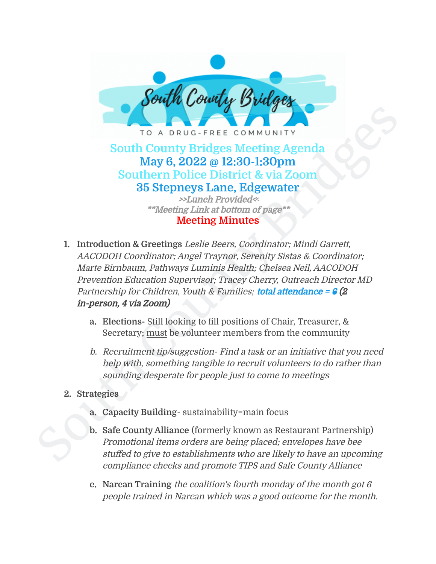

**May 6, 2022 @ 12:30-1:30pm Southern Police District & via Zoom 35 Stepneys Lane, Edgewater** >>Lunch Provided<**<** \*\*Meeting Link at bottom of page\*\*

## **Meeting Minutes**

- FOR A DRUG-FREE COMMUNITY<br>
South County Bridges Meeting Agenda<br>
May 6, 2022 @ 12:30-1:30pm<br>
Southern Police District & via Zoom<br>
35 Stepneys Lane, Edgewater<br>
\*\*Meeting Link at bottom of page\*<br>
\*\*Meeting Link at bottom of **1. Introduction & Greetings** Leslie Beers, Coordinator; Mindi Garrett, AACODOH Coordinator; Angel Traynor, Serenity Sistas & Coordinator; Marte Birnbaum, Pathways Luminis Health; Chelsea Neil, AACODOH Prevention Education Supervisor; Tracey Cherry, Outreach Director MD Partnership for Children, Youth & Families; total attendance =  $\frac{1}{6}$  (2) in-person, 4 via Zoom)
	- **a. Elections-** Still looking to fill positions of Chair, Treasurer, & Secretary; must be volunteer members from the community
	- b. Recruitment tip/suggestion- Find <sup>a</sup> task or an initiative that you need help with, something tangible to recruit volunteers to do rather than sounding desperate for people just to come to meetings
	- **2. Strategies**
		- **a. Capacity Building** sustainability=main focus
		- **b. Safe County Alliance** (formerly known as Restaurant Partnership) Promotional items orders are being placed; envelopes have bee stuffed to give to establishments who are likely to have an upcoming compliance checks and promote TIPS and Safe County Alliance
		- **c. Narcan Training** the coalition's fourth monday of the month got 6 people trained in Narcan which was <sup>a</sup> good outcome for the month.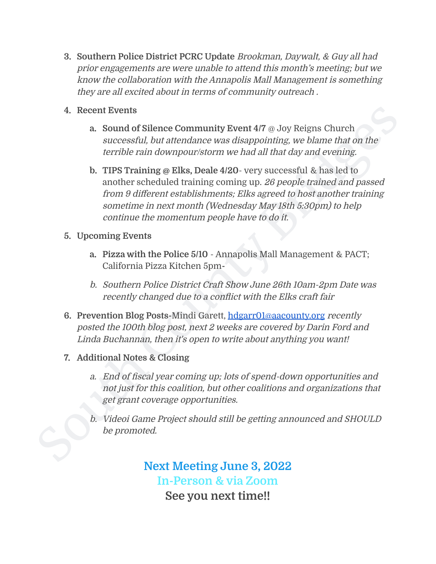- **3. Southern Police District PCRC Update** Brookman, Daywalt, & Guy all had prior engagements are were unable to attend this month's meeting; but we know the collaboration with the Annapolis Mall Management is something they are all excited about in terms of community outreach .
- **4. Recent Events**
	- **a. Sound of Silence Community Event 4/7** @ Joy Reigns Church successful, but attendance was disappointing, we blame that on the terrible rain downpour/storm we had all that day and evening.
- 4. Recent Events<br>
a Sound of Silence Community Event 4/7  $\alpha$ , Joy Reigns Church<br>
successful, but attendance was disappointing, we blame that on the<br>
terrible rain downpour/storm we had all that day and evening<br>
b. TIFS T **b. TIPS Training @ Elks, Deale 4/20**- very successful & has led to another scheduled training coming up. 26 people trained and passed from 9 different establishments; Elks agreed to host another training sometime in next month (Wednesday May 18th 5:30pm) to help continue the momentum people have to do it.
	- **5. Upcoming Events**
		- **a. Pizza with the Police 5/10** Annapolis Mall Management & PACT; California Pizza Kitchen 5pm**-**
		- b. Southern Police District Craft Show June 26th 10am-2pm Date was recently changed due to <sup>a</sup> conflict with the Elks craft fair
	- **6. Prevention Blog Posts-**Mindi Garett, [hdgarr01@aacounty.org](mailto:hdgarr01@aacounty.org) recently posted the 100th blog post, next 2 weeks are covered by Darin Ford and Linda Buchannan, then it's open to write about anything you want!
	- **7. Additional Notes & Closing**
		- a. End of fiscal year coming up; lots of spend-down opportunities and not just for this coalition, but other coalitions and organizations that get grant coverage opportunities.
		- b. Videoi Game Project should still be getting announced and SHOULD be promoted.

**Next Meeting June 3, 2022 In-Person & via Zoom See you next time!!**